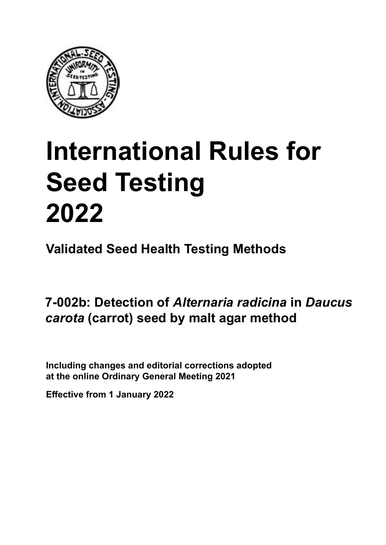

# **International Rules for Seed Testing von Saatgut 2022 2022 Semences 2022 International Rules for Seed Testing 2022**

**Métodos Validados para Análisis de Sanidad de Semillas Validate Méthodes Validées pour Analyse Sanitaire des Semences Validated Seed Health Testing Methods**

**7-002b: Detección de** *Alternaria radicina* **en Malz-Agar-Methode für den Nachweis von Méthode sur malt agar pour la détection semillas de** *Daucus carota* **(zanahoria) por el**  *método de l'alternation Alternaria radicina* **an Samen von** *Daucus carota*  $\frac{1}{2}$ *r* complements of *rivernaria* radioma in Dau *carota* **(carotte) 7-002b: Detection of** *Alternaria radicina* **in** *Daucus carota* **(carrot) seed by malt agar method**

Including changes and editorial corrections adopted at the online Ordinary General Meeting 2021

**Effective from 1 January 2022**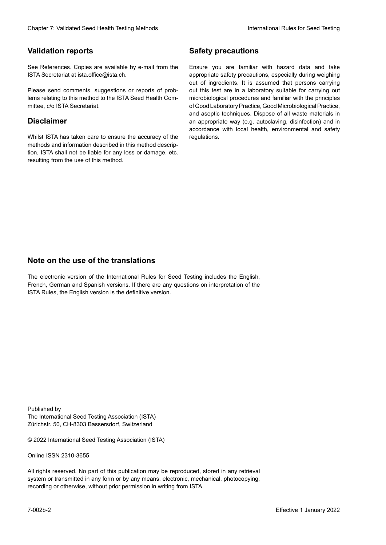### **Validation reports**

See References. Copies are available by e-mail from the<br>ISTA Secretariat at ista.office@ista.ch. ISTA Secretariat at ista.office@ista.ch.

lems relating to this method to the ISTA Seed Health Com-<br>mittee, c/o ISTA Secretariat. mittee, c/o ISTA Secretariat.<br>i Please send comments, suggestions or reports of prob-

### **Limitation de responsabilité Disclaimer**

Whilst ISTA has taken care to ensure the accuracy of the<br>methods and information described in this method description, ISTA shall not be liable for any loss or damage, etc.<br>resulting from the use of this method.<br>. resulting from the use of this method. Whilst ISTA has taken care to ensure the accuracy of the methods and information described in this method descrip-<br>tion, ISTA shall not be liable for any loss or damage, etc. tion, ISTA shall not be liable for any loss or damage, etc.<br>resulting from the use of this method.

### **Medidas de seguridad Sicherheitsmaßnahmen Sécurité Safety precautions**

Ensure you are familiar with hazard data and take Ensure you are familiar with hazard data and take<br>appropriate safety precautions, especially during weighing out of ingredients. It is assumed that persons carrying out this test are in a laboratory suitable for carrying out microbiological procedures and familiar with the principles of Good Laboratory Practice, Good Microbiological Practice, and aseptic techniques. Dispose of all waste materials in an appropriate way (e.g. autoclaving, disinfection) and in accordance with local health, environmental and safety regulations. Glade 7: Validated Deed Health Testing holesdos<br>
Validation reports<br>
Safety precedure and also recedure to the Same Safety precedure and<br>
Same Constraints and Constraints of the Same Safety precedure and<br>
Same Constraints microbiological procedures and familiar with the principles<br>of Good Laboratory Practice, Good Microbiological Practice,<br>and aseptic techniques. Dispose of all waste materials in<br>an appropriate way (e.g. autoclaving, disinf fallstoffe sind auf geeignete Weise und entsprechend der vor Ort über der vor Ort über und Umwelt- und Umwelt-<br>Eine und Umwelt-Effective Counter of Nicholas Devel Teach Teach Teach Devel Safety precedutions<br>
Validation reports<br>
Safety precedution reports and the symbol state of the sementic of the symbol state of the based delay and share<br>
Propose of Good Laboratory Practice, Good Microbiological Practice,<br>and aseptic techniques. Dispose of all waste materials in<br>an appropriate way (e.g. autoclaving, disinfection) and in Validation reports<br>
Since The Texture 1988 and the system of the Since Theorem and the Since Theorem and the system of the Since The Since The Since The Since The Since The Since The Since The Since The Since The Since The Ensure you are familiar with hazard data and take<br>appropriate safety precautions, especially during weighing<br>out of ingredients. It is assumed that persons carrying<br>out this test are in a laboratory suitable for carrying o

### **Nota sobre el uso de traducciones Anmerkung zur Benutzung der Übersetzungen Note on the use of the translations**

The electronic version of the International Rules for Seed Testing includes the English, French, German and Spanish versions. If there are any questions on interpretation of the ISTA Rules, the English version is the definitive version. The electronic version of the International Rules for Seed Testing includes the English,<br>French, German and Spanish versions. If there are any questions on interpretation of the<br>ISTA Rules, the English version is the defin The electronic version of the International Rules for Seed Testing includes the English,<br>French, German and Spanish versions. If there are any questions on interpretation of the

Published by **Extending Association (ISTA)** The International Seed Testing Association (ISTA) Zürichstr. 50, CH-8303 Bassersdorf, Switzerland

© 2022 International Seed Testing Association (ISTA)

Alle Rechte vorbehalten. Kein Teil dieses Werkes darf in irgendwelcher Form oder durch Online ISSN 2310-3655

All rights reserved. No part of this publication may be reproduced, stored in any retrieval All rights reserved. No part of this publication may be reproduced, stored in any retrieval<br>system or transmitted in any form or by any means, electronic, mechanical, photocopying,<br>recording or otherwise, without prior per recording or otherwise, without prior permis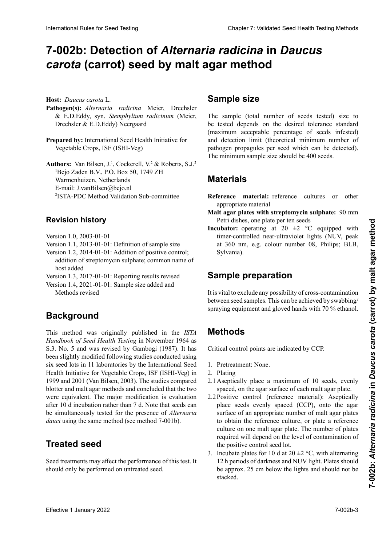# 7-002b: Detection of *Alternaria radicina* in *Daucus carota* (carrot) seed by malt agar method

**Hospedante:** *Daucus carota* L. **Host:** *Daucus carota* L.

- Pathogen(s): *Alternaria radicina* Meier, Drechsler & E.D.Eddy, syn. Stemphylium radicinum (Meier, **Pathogen: Pathogenetical Pathogenetical** *radicinal* **Meergaard** ler & E.D.Eddy, syn. *Stemphylium radicinum* (Meier, & E.D.Eddy, syn. *Stemphylium radicinum*
- Prepared by: International Seed Health Initiative for Vegetable Crops, ISF (ISHI-Veg)  $V$ egetable Crops, ISF (ISHI-Veg)

**Authors:** Van Bilsen,  $J^1$ , Cockerell,  $V^2$  & Roberts, S.J.<br>  $R^2 = \frac{1}{2}$ zen, Netherlands<br>Weblinken  $\sum_{i=1}^{\infty}$   $\sum_{i=1}^{\infty}$ 2 E-mail: J.vanBilsen@bejo.nl  $E$ -man. J. vandisch $\omega$ dejo.m Authors: Van Bilsen, J.<sup>1</sup>, Cockerell, V.<sup>2</sup> & Roberts, S.J.<sup>2</sup> Bejo Zaden B.V., P.O. Box 50, 1749 ZH<br>Warmenhuizen, Netherlands <sup>1</sup>Bejo Zaden B.V., P.O. Box 50, 1749 ZH<br>Waxaa kale ahaadaada -ISTA-PDC Method vandati  $E$ -man. J. vandisen $\omega$ <sup>2</sup>ISTA-PDC Method Validation Sub-committee

# **Revision history**

- Versión 1.0, 2003-01-01 Version 1.0,  $2003 - 01 - 01$ **Revisionsstand Version 1.0, 2003-01-01**
- Version 1.1, 2013-01-01: Definition of sample size
- Version 1.2, 2014-01-01: Addition of positive control; addition of streptomycin sulphate; common name of<br>host added host added
- Version 1.3, 2017-01-01: Reporting results revised

Version 1.4, 2021-01-01: Sample size added and Methods revised

## **Background**

This method was originally published in the *ISTA Handbook of Seed Health Testing* in November 1964 as **S.3. No. 5 and was revised by Gambogi (1987). It has** been slightly modified following studies conducted using six seed lots in 11 laboratories by the International Seed Health Initiative for Vegetable Crops, ISF (ISHI-Veg) in<br>1999 and 2001 (Van Bilsen, 2003). The studies compared 1999 and 2001 (Van Bilsen, 2003). The studies compared blotter and malt agar methods and concluded that the two were equivalent. The major modification is evaluation<br>efter 10 d inventation rethan then 7 d. Note that each exp were equivalent. In the major modification is evaluated.<br>after 10 d incubation rather than 7 d. Note that seeds can  $\frac{1}{2}$  differential en lugar de  $\frac{1}{2}$  for the *measure of*  $\frac{1}{2}$  *differential* be simultaneously tested for the presence of *internation dauci* using the same method (see method 7-001b). met  $\frac{1}{2}$  method vergliede verglieden. Beide können gleicher genutzte gleichermagen genutzte gleichermagen genutzte gleichermagen genutzte gleichermagen genutzte gleichermagen genutzte gleichermagen genutzte gleicherm be simultaneously tested for the presence of *Alternaria* International Rules for Seed Testing Company of the Company of the Chapter 2: **Carolina Chapter 7:** Validated Seed Testing Chapter 7: United Sections 2022<br>
Health Chapter 2: United Chapter 2: United Chapter 2: United Chap

### $T_{\text{unoted}}$  and  $\theta$ **Treated seed**

**Semilla tratada** (voir méthode 7-001b). should only be performed on untreated seed. Seed treatments may affect the performance of this test. It

## **Sample size**

The sample (total number of seeds tested) size to be tested depends on the desired tolerance standard (maximum acceptable percentage of seeds infested) and detection limit (theoretical minimum number of and decoded mini- (increased minimum nameer of pathogen propagules per seed which can be detected). parrogen propagares per seca winen eur se accesseur. The minimum sample size should be 400 seeds.

#### **Materiales Materials**  $D$  $\overline{\phantom{a}}$

**Reference inaterial:** reference cultures or other appropriate material prüften Samen) hängt von der gewünschten Toleranznorm **Keierence Inaterial:** reference cultures or other und der Nachweise (theoretische Mindester (theoretische Mindester Mindester Mindester Mindester Mindester Mindestructure Mindester Mindester (theoretische Mindester Mindester Mindester Mindester Mindester Mindester Mindest Reference material: reference cultures or other<br>appropriate material<br>Malt agar plates with streptomycin sulphate: 90 mm Reference material: reference cultures or other

- **Place agar plates with streptomycin sulphate:** 90 mm Petri dishes, one plate per ten seeds
- **Incubator:** operating at 20  $\pm$ 2 °C equipped with timer-controlled near-ultraviolet lights (NUV, peak at 360 nm, e.g. colour number 08, Philips; BLB, Sylvania).

#### **Preparación de la muestra** nete Materialien matériel approprié **Sample preparation Referenzmaterial:** Referenzkulturen oder andere geeig-**Matériel de référence :** cultures de référence ou autre

It is vital to exclude any possibility of cross-contamination between seed samples. This can be achieved by swabbing/ spraying equipment and gloved hands with 70 % ethanol.

### **Métodos Production Methods**

Los puntos críticos de control son indicados como PCC. Es ist entscheidend, eine Kreuzkontamination zwischen Critical control points are indicated by CCP.

- 1. Pretreatment: None.<br>2. Plating
- 2. Plating
- 2.1 Aseptically place a maximum of 10 seeds, evenly spaced, on the agar surface of each malt agar plate.
- formemente distribuidas en la superficie de agar de 2.2 Positive control (reference material): Aseptically place seeds evenly spaced (CCP), onto the agar place seeds evenly spaced (CCP), onto the agar<br>surface of an appropriate number of malt agar plates surface of an appropriate number of mail agai plates<br>to obtain the reference culture, or plate a reference to botam the reference culture, or plate a reference<br>culture on one malt agar plate. The number of plates  $\frac{d}{dx}$  culture on one maltagar place. The number of places required will depend on the level of contamination of the positive control seed lot.
- 3. Incubate plates for 10 d at  $20 \pm 2$  °C, with alternating Include plates for 10 a at  $20 \pm 2$  °C, with alternating 12 h periods of darkness and NUV light. Plates should be approx. 25 cm below the lights and should not be stacked. alternados de 12 horas de 12 horas de oscuridad y luz Nuvel Nuvel Nuvel Nuvel Nuvel Nuvel Nuvel Nuvel Nuvel Nu 2.2 Contrôle positif (matériel de référence) : Placer les semences de manière aseptique et régulièrement dis-<br>2.2 Contrôle pour les semences de manière aseptique et régulièrement disstacked.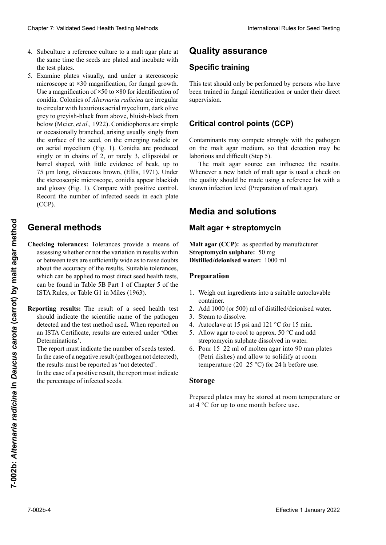- 4. Subculture a reference culture to a malt agar plate at Subculture a reference culture to a malt agar plate at<br>the same time the seeds are plated and incubate with the test plates.
- 5. Examine plates visually, and under a stereoscopic microscope at  $\times$ 30 magnification, for fungal growth. Use a magnification of ×50 to ×80 for identification of conidia. Colonies of *Alternaria radicina* are irregular<br>to circular with luxurious aerial mycelium dark olive to circular with luxurious aerial mycelium, dark olive<br>grey to grevish-black from above, bluish-black from grey to greyish-black from above, bluish-black from<br>helow (Meier et al. 1922). Conidionhores are simple below (Meier, *et al.*, 1922). Conidiophores are simple or occasionally branched, arising usually singly from the surface of the seed, on the emerging radicle or on aerial mycelium (Fig. 1). Conidia are produced on dental myeemant (rigi. 1). Comata die produced<br>singly or in chains of 2, or rarely 3, ellipsoidal or barrel shaped, with little evidence of beak, up to barrer shaped, while indice of beak, ap-to-<br>75 µm long, olivaceous brown, (Ellis, 1971). Under  $n_{\text{min}}$  nidios, se producente o en cadena de 2,111, se producente o en cadena de 2,2,  $\sum_{i=1}^{\infty}$   $\sum_{i=1}^{\infty}$   $\sum_{i=1}^{\infty}$   $\sum_{i=1}^{\infty}$  contained appear biackets of and glossy (Fig. 1). Compare with positive control. Record the number of infected seeds in each plate  $(CCD)$  $r(\text{CCP})$ . Course is a biser of the course of the sail of the same of the same of the same of the same of the same of the same of the same of the same of the same of the same of the same of the same of the same of the same of the sa Koning, Unvaccus biown, (Eliis, 1771). Under *radicina sind unregelmäßigen bis rund auf die der die der die der dem die der die der dem die der dem die der dem die der dem die der dem die dem die dem die dem die dem die dem die dem die dem die dem die dem die dem die*  $(\text{CCP}).$ Chaos 7 Voldskies Sesel Health Twin also be the set of the Mally associates to the Total Section According to the Section According to the Section According to the Section According to the Section According to the Section the test plates.<br>Examine plates visually, and under a stereoscopic<br>microscope at ×30 magnification, for fungal growth.<br>Use a magnification of ×50 to ×80 for identification of To fin long, onvaccous crown, (Ems, 1971). Onder<br>the stereoscopic microscope, conidia appear blackish<br>and glossy (Fig. 1). Compare with positive control.<br>Record the number of infected seeds in each plate  $(CCP)$ , and  $(CCP)$ , and  $(CCP)$ , and  $(CCP)$ , and  $(CCP)$ , and  $(CCP)$ microscope at **×**30 magnification, for fungal growth. (CCP).

## número de semillas infectadas en cada placa (PCC). schwach verzweigt, entspringen einzeln oder in kleinen Gruppen auf der Samenoberfläche, der heraustretenden **General methods**

**Checking tolerances:** Toleran or between tests are sufficiently wide as to raise doubts about the accuracy of the results. Suitable tolerances, about the accuracy of the results. Suitable tolerances,<br>which can be applied to most direct seed health tests, can be found in Table 5B Part 1 of Chapter 5 of the ISTA Rules, or Table G1 in Miles (1963). ecking tolerances: Tolerances provide a means of assessing whether or not the variation in results within **Example 3 2 Set the Set of Set of Set of Set of Set of Set of Assessing whether or not the variation in results within<br>or between tests are sufficiently wide as to raise doubts<br>about the accuracy of the results. Suitable Seneral methods**<br> **Effection** thermores rowing a memo of **Malt agar + streptomycin**<br> **Effective 1 davantises** when<br> **Effective 1 davantises** when the carbon content care and the carbon served in the streptomychan supplie **Checking tolerances:** Tolerances provide a means of

Reporting results: The result of a seed health test should indicate the scientific name of the pathogen<br>detected and the test method used. When reported on detected and the test method used. When reported on Determinations'. Determinations'.<br>The report must indicate the number of seeds tested. an ISTA Certificate, results are entered under 'Other

In the case of a negative result (pathogen not detected),<br>the results must be reported as 'not detected' the results must be reported as 'not detected'.

In the case of a positive result, the report must indicate  $\frac{1}{1}$  informed deep in the nercentage of infected seeds the percentage of infected seeds.

### **Quality assurance**

### **Entrenamiento especifico Formation spécifique Specific training**

This test should only be performed by persons who have been trained in fungal identification or under their direct supervision.

### **Critical control points (CCP)** Pilzen haben oder unter der direkten Anleitung einer Per-

Contaminants may compete strongly with the pathogen pathogène sur le malta, de modo que la détection may be on the malt tigat meanality of that detection may be laborious and difficult (Step 5).

raborious and difficult (Step 5).<br>The malt agar source can influence the results. Whenever a new batch of malt agar is used a check on whenever a new batch of man agains used a cheek on con quanty should be made using a reference for while  $\alpha$ the quanty should be made using a reference for with a known infection level (Preparation of malt agar). • Andere Pilze konkurrieren mit *A. radicina*, so dass der Whenever a new batch of malt agar is used a check on<br>the quality should be made using a reference lot with a

#### **Media and solutions** einflussen. Immer wenn eine neue Charge Malz-Agar guid and Solutions mit Hilfe des Mediums mit Hilfe des Mediums mit Hilfe des Mediums mit Hilfe des Mediums mit **Milieux et solutions Media and solutions**

#### **Agar malta + estreptomicina**  einer Referenzprobe mit bekanntem Infektionsniveau aget <del>+</del> streptomycin **Malt agar + streptomycine Malt agar + streptomycin**

**Malt agar (CCP):** as specified by manufacturer **Streptomycin sulphate:** 50 mg **Distilled/deionised water:** 1000 ml **Malt agar (CCP):** as specified by manufacturer

### **Préparation Preparation**

- 1. Weigh out ingredients into a suitable autoclavable container.
- 2. Add 1000 (or 500) ml of distilled/deionised water.
- 3. Steam to dissolve.
- 4. Autoclave at 15 psi and 121 °C for 15 min.
- 5. Allow agar to cool to approx. 50  $\degree$ C and add<br>streptomycin sulphate dissolved in water. streptomycin sulphate dissolved in water.
- 6. Pour  $15-22$  ml of molten agar into 90 mm plates (Petri dishes) and allow to solidify at room temperature (20–25 °C) for 24 h before use.  $\frac{1}{2}$  and  $\frac{1}{2}$  matrix de 90 mm de agar fundido en placas de 90 mm de 90 mm de 90 mm de 90 mm de 90 mm de 90 mm de 90 mm de 90 mm de 90 mm de 90 mm de 90 mm de 90 mm de 90 mm de 90 mm de 90 mm de 90 mm de 90 mm de 3. Malz-Agar durch Erhitzen suspendieren.

#### $\mathbf{p}$ biente (20–25 °C) por 24 horas antes de usar.  $\epsilon$  and 131  $\epsilon$  für 15 min autoklavieren.  $\frac{1}{\sqrt{2}}$ Storage

**Almacenaje** Prepared plates may be stored at room temperature or 1 repared places may be stored at room temperature of  $\epsilon$  c for ap to one month octore ase. Les peuvent de stock de l'outer temperature et at 4 °C for up to one month before use.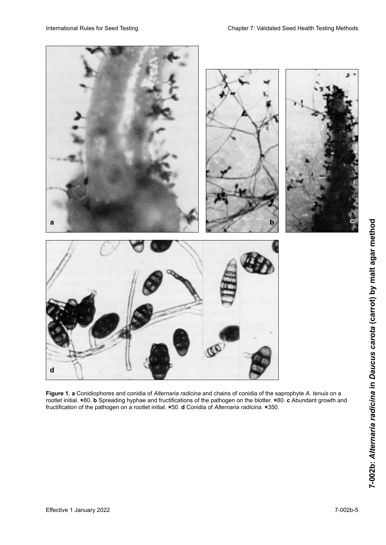

**Figure 1. a** Conidiophores and conidia of *Alternaria radicina* and chains of conidia of the saprophyte *A. tenuis* on a rootlet initial. ×80. **b** Spreading hyphae and fructifications of the pathogen on the blotter. ×80. **c** Abundant growth and<br>fructification of the pathogen on a rootlet initial. ×50. **d** Conidia of *Alternaria radicina.* × fructification of the pathogen on a rootlet initial. **×**50. **d** Conidia of *Alternaria radicina.* **×**350.